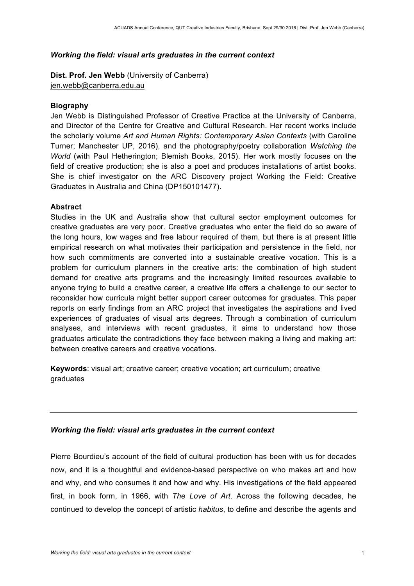#### *Working the field: visual arts graduates in the current context*

**Dist. Prof. Jen Webb** (University of Canberra) jen.webb@canberra.edu.au

### **Biography**

Jen Webb is Distinguished Professor of Creative Practice at the University of Canberra, and Director of the Centre for Creative and Cultural Research. Her recent works include the scholarly volume *Art and Human Rights: Contemporary Asian Contexts* (with Caroline Turner; Manchester UP, 2016), and the photography/poetry collaboration *Watching the World* (with Paul Hetherington; Blemish Books, 2015). Her work mostly focuses on the field of creative production; she is also a poet and produces installations of artist books. She is chief investigator on the ARC Discovery project Working the Field: Creative Graduates in Australia and China (DP150101477).

# **Abstract**

Studies in the UK and Australia show that cultural sector employment outcomes for creative graduates are very poor. Creative graduates who enter the field do so aware of the long hours, low wages and free labour required of them, but there is at present little empirical research on what motivates their participation and persistence in the field, nor how such commitments are converted into a sustainable creative vocation. This is a problem for curriculum planners in the creative arts: the combination of high student demand for creative arts programs and the increasingly limited resources available to anyone trying to build a creative career, a creative life offers a challenge to our sector to reconsider how curricula might better support career outcomes for graduates. This paper reports on early findings from an ARC project that investigates the aspirations and lived experiences of graduates of visual arts degrees. Through a combination of curriculum analyses, and interviews with recent graduates, it aims to understand how those graduates articulate the contradictions they face between making a living and making art: between creative careers and creative vocations.

**Keywords**: visual art; creative career; creative vocation; art curriculum; creative graduates

# *Working the field: visual arts graduates in the current context*

Pierre Bourdieu's account of the field of cultural production has been with us for decades now, and it is a thoughtful and evidence-based perspective on who makes art and how and why, and who consumes it and how and why. His investigations of the field appeared first, in book form, in 1966, with *The Love of Art*. Across the following decades, he continued to develop the concept of artistic *habitus*, to define and describe the agents and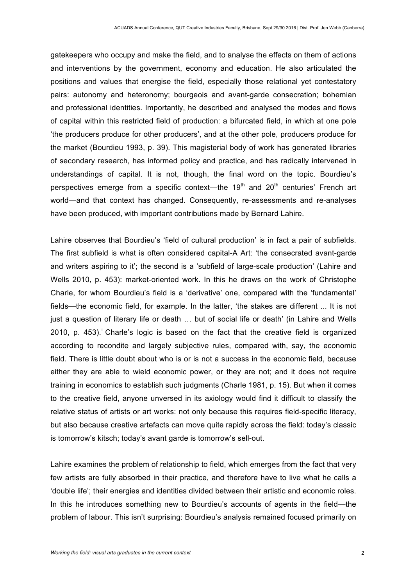gatekeepers who occupy and make the field, and to analyse the effects on them of actions and interventions by the government, economy and education. He also articulated the positions and values that energise the field, especially those relational yet contestatory pairs: autonomy and heteronomy; bourgeois and avant-garde consecration; bohemian and professional identities. Importantly, he described and analysed the modes and flows of capital within this restricted field of production: a bifurcated field, in which at one pole 'the producers produce for other producers', and at the other pole, producers produce for the market (Bourdieu 1993, p. 39). This magisterial body of work has generated libraries of secondary research, has informed policy and practice, and has radically intervened in understandings of capital. It is not, though, the final word on the topic. Bourdieu's perspectives emerge from a specific context—the  $19<sup>th</sup>$  and  $20<sup>th</sup>$  centuries' French art world—and that context has changed. Consequently, re-assessments and re-analyses have been produced, with important contributions made by Bernard Lahire.

Lahire observes that Bourdieu's 'field of cultural production' is in fact a pair of subfields. The first subfield is what is often considered capital-A Art: 'the consecrated avant-garde and writers aspiring to it'; the second is a 'subfield of large-scale production' (Lahire and Wells 2010, p. 453): market-oriented work. In this he draws on the work of Christophe Charle, for whom Bourdieu's field is a 'derivative' one, compared with the 'fundamental' fields—the economic field, for example. In the latter, 'the stakes are different ... It is not just a question of literary life or death ... but of social life or death' (in Lahire and Wells 2010. p.  $453$ ).<sup>i</sup> Charle's logic is based on the fact that the creative field is organized according to recondite and largely subjective rules, compared with, say, the economic field. There is little doubt about who is or is not a success in the economic field, because either they are able to wield economic power, or they are not; and it does not require training in economics to establish such judgments (Charle 1981, p. 15). But when it comes to the creative field, anyone unversed in its axiology would find it difficult to classify the relative status of artists or art works: not only because this requires field-specific literacy, but also because creative artefacts can move quite rapidly across the field: today's classic is tomorrow's kitsch; today's avant garde is tomorrow's sell-out.

Lahire examines the problem of relationship to field, which emerges from the fact that very few artists are fully absorbed in their practice, and therefore have to live what he calls a 'double life'; their energies and identities divided between their artistic and economic roles. In this he introduces something new to Bourdieu's accounts of agents in the field—the problem of labour. This isn't surprising: Bourdieu's analysis remained focused primarily on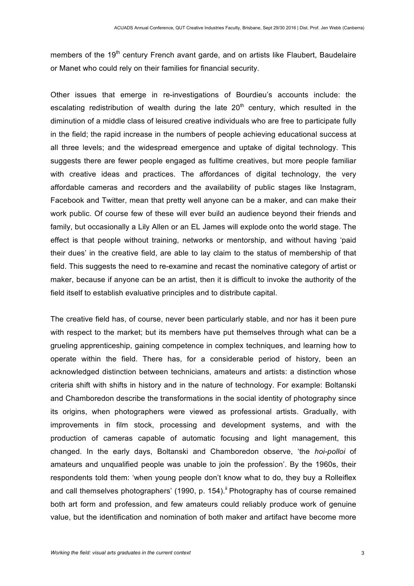members of the 19<sup>th</sup> century French avant garde, and on artists like Flaubert, Baudelaire or Manet who could rely on their families for financial security.

Other issues that emerge in re-investigations of Bourdieu's accounts include: the escalating redistribution of wealth during the late  $20<sup>th</sup>$  century, which resulted in the diminution of a middle class of leisured creative individuals who are free to participate fully in the field; the rapid increase in the numbers of people achieving educational success at all three levels; and the widespread emergence and uptake of digital technology. This suggests there are fewer people engaged as fulltime creatives, but more people familiar with creative ideas and practices. The affordances of digital technology, the very affordable cameras and recorders and the availability of public stages like Instagram, Facebook and Twitter, mean that pretty well anyone can be a maker, and can make their work public. Of course few of these will ever build an audience beyond their friends and family, but occasionally a Lily Allen or an EL James will explode onto the world stage. The effect is that people without training, networks or mentorship, and without having 'paid their dues' in the creative field, are able to lay claim to the status of membership of that field. This suggests the need to re-examine and recast the nominative category of artist or maker, because if anyone can be an artist, then it is difficult to invoke the authority of the field itself to establish evaluative principles and to distribute capital.

The creative field has, of course, never been particularly stable, and nor has it been pure with respect to the market; but its members have put themselves through what can be a grueling apprenticeship, gaining competence in complex techniques, and learning how to operate within the field. There has, for a considerable period of history, been an acknowledged distinction between technicians, amateurs and artists: a distinction whose criteria shift with shifts in history and in the nature of technology. For example: Boltanski and Chamboredon describe the transformations in the social identity of photography since its origins, when photographers were viewed as professional artists. Gradually, with improvements in film stock, processing and development systems, and with the production of cameras capable of automatic focusing and light management, this changed. In the early days, Boltanski and Chamboredon observe, 'the *hoi-polloi* of amateurs and unqualified people was unable to join the profession'. By the 1960s, their respondents told them: 'when young people don't know what to do, they buy a Rolleiflex and call themselves photographers' (1990, p. 154).<sup> $\parallel$ </sup> Photography has of course remained both art form and profession, and few amateurs could reliably produce work of genuine value, but the identification and nomination of both maker and artifact have become more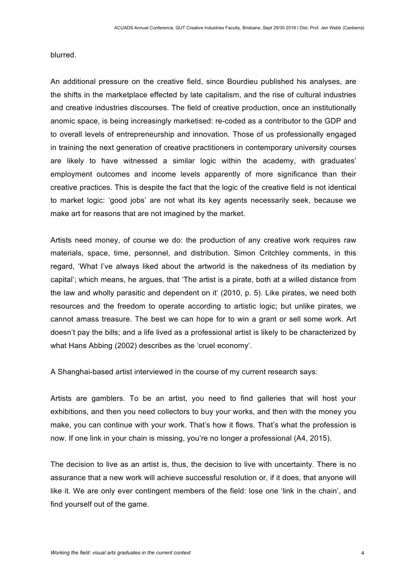blurred.

An additional pressure on the creative field, since Bourdieu published his analyses, are the shifts in the marketplace effected by late capitalism, and the rise of cultural industries and creative industries discourses. The field of creative production, once an institutionally anomic space, is being increasingly marketised: re-coded as a contributor to the GDP and to overall levels of entrepreneurship and innovation. Those of us professionally engaged in training the next generation of creative practitioners in contemporary university courses are likely to have witnessed a similar logic within the academy, with graduates' employment outcomes and income levels apparently of more significance than their creative practices. This is despite the fact that the logic of the creative field is not identical to market logic: 'good jobs' are not what its key agents necessarily seek, because we make art for reasons that are not imagined by the market.

Artists need money, of course we do: the production of any creative work requires raw materials, space, time, personnel, and distribution. Simon Critchley comments, in this regard, 'What I've always liked about the artworld is the nakedness of its mediation by capital'; which means, he argues, that 'The artist is a pirate, both at a willed distance from the law and wholly parasitic and dependent on it' (2010, p. 5). Like pirates, we need both resources and the freedom to operate according to artistic logic; but unlike pirates, we cannot amass treasure. The best we can hope for to win a grant or sell some work. Art doesn't pay the bills; and a life lived as a professional artist is likely to be characterized by what Hans Abbing (2002) describes as the 'cruel economy'.

A Shanghai-based artist interviewed in the course of my current research says:

Artists are gamblers. To be an artist, you need to find galleries that will host your exhibitions, and then you need collectors to buy your works, and then with the money you make, you can continue with your work. That's how it flows. That's what the profession is now. If one link in your chain is missing, you're no longer a professional (A4, 2015).

The decision to live as an artist is, thus, the decision to live with uncertainty. There is no assurance that a new work will achieve successful resolution or, if it does, that anyone will like it. We are only ever contingent members of the field: lose one 'link in the chain', and find yourself out of the game.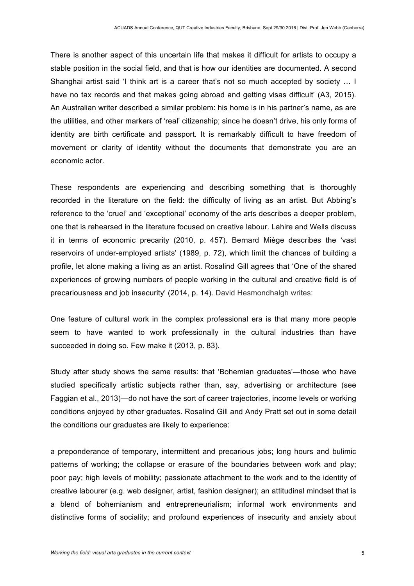There is another aspect of this uncertain life that makes it difficult for artists to occupy a stable position in the social field, and that is how our identities are documented. A second Shanghai artist said 'I think art is a career that's not so much accepted by society … I have no tax records and that makes going abroad and getting visas difficult' (A3, 2015). An Australian writer described a similar problem: his home is in his partner's name, as are the utilities, and other markers of 'real' citizenship; since he doesn't drive, his only forms of identity are birth certificate and passport. It is remarkably difficult to have freedom of movement or clarity of identity without the documents that demonstrate you are an economic actor.

These respondents are experiencing and describing something that is thoroughly recorded in the literature on the field: the difficulty of living as an artist. But Abbing's reference to the 'cruel' and 'exceptional' economy of the arts describes a deeper problem, one that is rehearsed in the literature focused on creative labour. Lahire and Wells discuss it in terms of economic precarity (2010, p. 457). Bernard Miège describes the 'vast reservoirs of under-employed artists' (1989, p. 72), which limit the chances of building a profile, let alone making a living as an artist. Rosalind Gill agrees that 'One of the shared experiences of growing numbers of people working in the cultural and creative field is of precariousness and job insecurity' (2014, p. 14). David Hesmondhalgh writes:

One feature of cultural work in the complex professional era is that many more people seem to have wanted to work professionally in the cultural industries than have succeeded in doing so. Few make it (2013, p. 83).

Study after study shows the same results: that 'Bohemian graduates'—those who have studied specifically artistic subjects rather than, say, advertising or architecture (see Faggian et al., 2013)—do not have the sort of career trajectories, income levels or working conditions enjoyed by other graduates. Rosalind Gill and Andy Pratt set out in some detail the conditions our graduates are likely to experience:

a preponderance of temporary, intermittent and precarious jobs; long hours and bulimic patterns of working; the collapse or erasure of the boundaries between work and play; poor pay; high levels of mobility; passionate attachment to the work and to the identity of creative labourer (e.g. web designer, artist, fashion designer); an attitudinal mindset that is a blend of bohemianism and entrepreneurialism; informal work environments and distinctive forms of sociality; and profound experiences of insecurity and anxiety about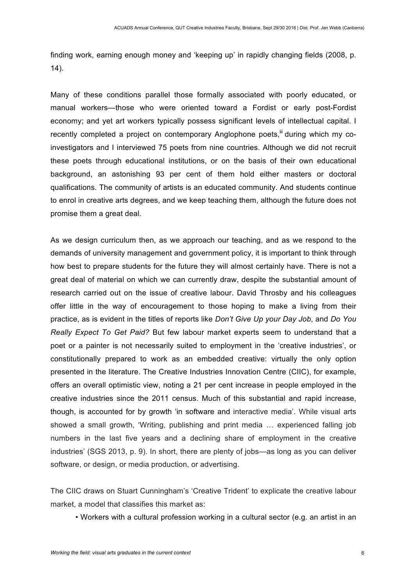finding work, earning enough money and 'keeping up' in rapidly changing fields (2008, p. 14).

Many of these conditions parallel those formally associated with poorly educated, or manual workers—those who were oriented toward a Fordist or early post-Fordist economy; and yet art workers typically possess significant levels of intellectual capital. I recently completed a project on contemporary Anglophone poets,  $\mathbb{I}$  during which my coinvestigators and I interviewed 75 poets from nine countries. Although we did not recruit these poets through educational institutions, or on the basis of their own educational background, an astonishing 93 per cent of them hold either masters or doctoral qualifications. The community of artists is an educated community. And students continue to enrol in creative arts degrees, and we keep teaching them, although the future does not promise them a great deal.

As we design curriculum then, as we approach our teaching, and as we respond to the demands of university management and government policy, it is important to think through how best to prepare students for the future they will almost certainly have. There is not a great deal of material on which we can currently draw, despite the substantial amount of research carried out on the issue of creative labour. David Throsby and his colleagues offer little in the way of encouragement to those hoping to make a living from their practice, as is evident in the titles of reports like *Don't Give Up your Day Job*, and *Do You Really Expect To Get Paid?* But few labour market experts seem to understand that a poet or a painter is not necessarily suited to employment in the 'creative industries', or constitutionally prepared to work as an embedded creative: virtually the only option presented in the literature. The Creative Industries Innovation Centre (CIIC), for example, offers an overall optimistic view, noting a 21 per cent increase in people employed in the creative industries since the 2011 census. Much of this substantial and rapid increase, though, is accounted for by growth 'in software and interactive media'. While visual arts showed a small growth, 'Writing, publishing and print media … experienced falling job numbers in the last five years and a declining share of employment in the creative industries' (SGS 2013, p. 9). In short, there are plenty of jobs—as long as you can deliver software, or design, or media production, or advertising.

The CIIC draws on Stuart Cunningham's 'Creative Trident' to explicate the creative labour market, a model that classifies this market as:

• Workers with a cultural profession working in a cultural sector (e.g. an artist in an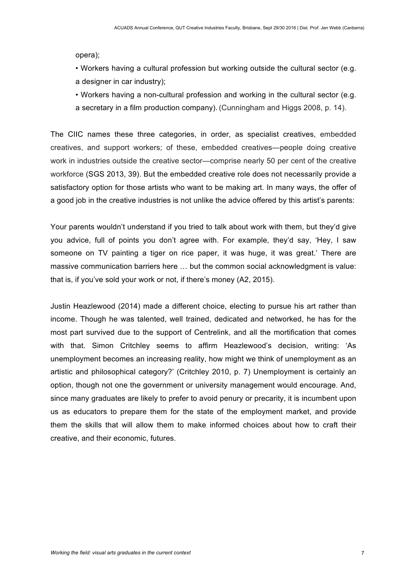opera);

• Workers having a cultural profession but working outside the cultural sector (e.g. a designer in car industry):

• Workers having a non-cultural profession and working in the cultural sector (e.g. a secretary in a film production company). (Cunningham and Higgs 2008, p. 14).

The CIIC names these three categories, in order, as specialist creatives, embedded creatives, and support workers; of these, embedded creatives—people doing creative work in industries outside the creative sector—comprise nearly 50 per cent of the creative workforce (SGS 2013, 39). But the embedded creative role does not necessarily provide a satisfactory option for those artists who want to be making art. In many ways, the offer of a good job in the creative industries is not unlike the advice offered by this artist's parents:

Your parents wouldn't understand if you tried to talk about work with them, but they'd give you advice, full of points you don't agree with. For example, they'd say, 'Hey, I saw someone on TV painting a tiger on rice paper, it was huge, it was great.' There are massive communication barriers here … but the common social acknowledgment is value: that is, if you've sold your work or not, if there's money (A2, 2015).

Justin Heazlewood (2014) made a different choice, electing to pursue his art rather than income. Though he was talented, well trained, dedicated and networked, he has for the most part survived due to the support of Centrelink, and all the mortification that comes with that. Simon Critchley seems to affirm Heazlewood's decision, writing: 'As unemployment becomes an increasing reality, how might we think of unemployment as an artistic and philosophical category?' (Critchley 2010, p. 7) Unemployment is certainly an option, though not one the government or university management would encourage. And, since many graduates are likely to prefer to avoid penury or precarity, it is incumbent upon us as educators to prepare them for the state of the employment market, and provide them the skills that will allow them to make informed choices about how to craft their creative, and their economic, futures.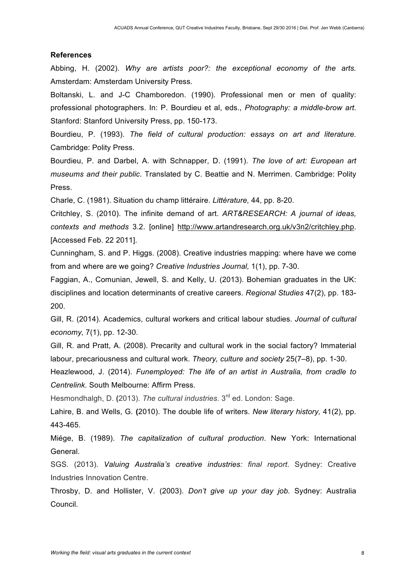#### **References**

Abbing, H. (2002). *Why are artists poor?: the exceptional economy of the arts.* Amsterdam: Amsterdam University Press.

Boltanski, L. and J-C Chamboredon. (1990). Professional men or men of quality: professional photographers. In: P. Bourdieu et al, eds., *Photography: a middle-brow art*. Stanford: Stanford University Press, pp. 150-173.

Bourdieu, P. (1993). *The field of cultural production: essays on art and literature.* Cambridge: Polity Press.

Bourdieu, P. and Darbel, A. with Schnapper, D. (1991). *The love of art: European art museums and their public*. Translated by C. Beattie and N. Merrimen. Cambridge: Polity Press.

Charle, C. (1981). Situation du champ littéraire. *Littérature,* 44, pp. 8-20.

Critchley, S. (2010). The infinite demand of art. *ART&RESEARCH: A journal of ideas, contexts and methods* 3.2. [online] http://www.artandresearch.org.uk/v3n2/critchley.php. [Accessed Feb. 22 2011].

Cunningham, S. and P. Higgs. (2008). Creative industries mapping: where have we come from and where are we going? *Creative Industries Journal,* 1(1), pp. 7-30.

Faggian, A., Comunian, Jewell, S. and Kelly, U. (2013). Bohemian graduates in the UK: disciplines and location determinants of creative careers. *Regional Studies* 47(2), pp. 183- 200.

Gill, R. (2014). Academics, cultural workers and critical labour studies. *Journal of cultural economy,* 7(1), pp. 12-30.

Gill, R. and Pratt, A. (2008). Precarity and cultural work in the social factory? Immaterial labour, precariousness and cultural work. *Theory, culture and society* 25(7–8), pp. 1-30.

Heazlewood, J. (2014). *Funemployed: The life of an artist in Australia, from cradle to Centrelink.* South Melbourne: Affirm Press.

Hesmondhalgh, D. **(**2013). *The cultural industries.* 3rd ed. London: Sage.

Lahire, B. and Wells, G. **(**2010). The double life of writers. *New literary history,* 41(2), pp. 443-465.

Miége, B. (1989). *The capitalization of cultural production*. New York: International General.

SGS. (2013). *Valuing Australia's creative industries: final report*. Sydney: Creative Industries Innovation Centre.

Throsby, D. and Hollister, V. (2003). *Don't give up your day job.* Sydney: Australia Council.